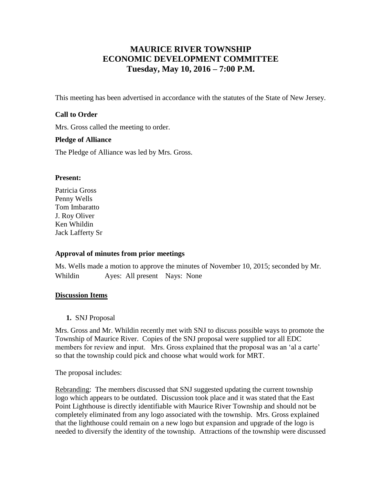# **MAURICE RIVER TOWNSHIP ECONOMIC DEVELOPMENT COMMITTEE Tuesday, May 10, 2016 – 7:00 P.M.**

This meeting has been advertised in accordance with the statutes of the State of New Jersey.

#### **Call to Order**

Mrs. Gross called the meeting to order.

#### **Pledge of Alliance**

The Pledge of Alliance was led by Mrs. Gross.

#### **Present:**

Patricia Gross Penny Wells Tom Imbaratto J. Roy Oliver Ken Whildin Jack Lafferty Sr

## **Approval of minutes from prior meetings**

Ms. Wells made a motion to approve the minutes of November 10, 2015; seconded by Mr. Whildin Ayes: All present Nays: None

## **Discussion Items**

**1.** SNJ Proposal

Mrs. Gross and Mr. Whildin recently met with SNJ to discuss possible ways to promote the Township of Maurice River. Copies of the SNJ proposal were supplied tor all EDC members for review and input. Mrs. Gross explained that the proposal was an 'al a carte' so that the township could pick and choose what would work for MRT.

The proposal includes:

Rebranding: The members discussed that SNJ suggested updating the current township logo which appears to be outdated. Discussion took place and it was stated that the East Point Lighthouse is directly identifiable with Maurice River Township and should not be completely eliminated from any logo associated with the township. Mrs. Gross explained that the lighthouse could remain on a new logo but expansion and upgrade of the logo is needed to diversify the identity of the township. Attractions of the township were discussed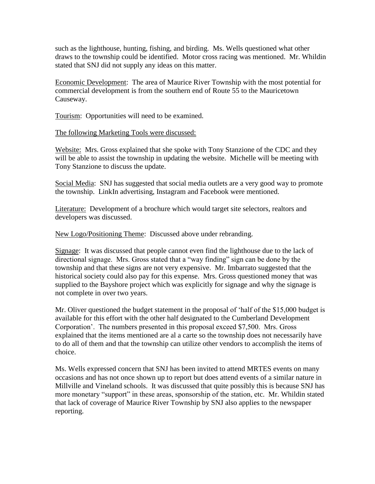such as the lighthouse, hunting, fishing, and birding. Ms. Wells questioned what other draws to the township could be identified. Motor cross racing was mentioned. Mr. Whildin stated that SNJ did not supply any ideas on this matter.

Economic Development: The area of Maurice River Township with the most potential for commercial development is from the southern end of Route 55 to the Mauricetown Causeway.

Tourism: Opportunities will need to be examined.

#### The following Marketing Tools were discussed:

Website: Mrs. Gross explained that she spoke with Tony Stanzione of the CDC and they will be able to assist the township in updating the website. Michelle will be meeting with Tony Stanzione to discuss the update.

Social Media: SNJ has suggested that social media outlets are a very good way to promote the township. LinkIn advertising, Instagram and Facebook were mentioned.

Literature: Development of a brochure which would target site selectors, realtors and developers was discussed.

New Logo/Positioning Theme: Discussed above under rebranding.

Signage: It was discussed that people cannot even find the lighthouse due to the lack of directional signage. Mrs. Gross stated that a "way finding" sign can be done by the township and that these signs are not very expensive. Mr. Imbarrato suggested that the historical society could also pay for this expense. Mrs. Gross questioned money that was supplied to the Bayshore project which was explicitly for signage and why the signage is not complete in over two years.

Mr. Oliver questioned the budget statement in the proposal of 'half of the \$15,000 budget is available for this effort with the other half designated to the Cumberland Development Corporation'. The numbers presented in this proposal exceed \$7,500. Mrs. Gross explained that the items mentioned are al a carte so the township does not necessarily have to do all of them and that the township can utilize other vendors to accomplish the items of choice.

Ms. Wells expressed concern that SNJ has been invited to attend MRTES events on many occasions and has not once shown up to report but does attend events of a similar nature in Millville and Vineland schools. It was discussed that quite possibly this is because SNJ has more monetary "support" in these areas, sponsorship of the station, etc. Mr. Whildin stated that lack of coverage of Maurice River Township by SNJ also applies to the newspaper reporting.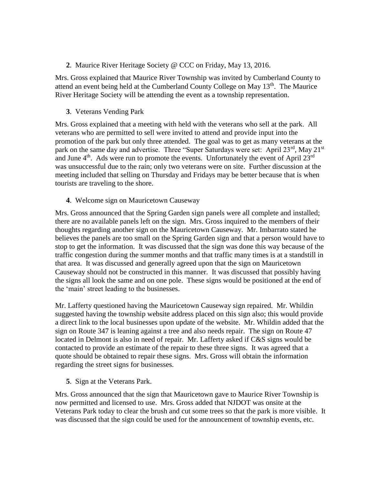**2**. Maurice River Heritage Society @ CCC on Friday, May 13, 2016.

Mrs. Gross explained that Maurice River Township was invited by Cumberland County to attend an event being held at the Cumberland County College on May  $13<sup>th</sup>$ . The Maurice River Heritage Society will be attending the event as a township representation.

**3**. Veterans Vending Park

Mrs. Gross explained that a meeting with held with the veterans who sell at the park. All veterans who are permitted to sell were invited to attend and provide input into the promotion of the park but only three attended. The goal was to get as many veterans at the park on the same day and advertise. Three "Super Saturdays were set: April  $23<sup>rd</sup>$ , May  $21<sup>st</sup>$ and June  $4<sup>th</sup>$ . Ads were run to promote the events. Unfortunately the event of April 23<sup>rd</sup> was unsuccessful due to the rain; only two veterans were on site. Further discussion at the meeting included that selling on Thursday and Fridays may be better because that is when tourists are traveling to the shore.

**4**. Welcome sign on Mauricetown Causeway

Mrs. Gross announced that the Spring Garden sign panels were all complete and installed; there are no available panels left on the sign. Mrs. Gross inquired to the members of their thoughts regarding another sign on the Mauricetown Causeway. Mr. Imbarrato stated he believes the panels are too small on the Spring Garden sign and that a person would have to stop to get the information. It was discussed that the sign was done this way because of the traffic congestion during the summer months and that traffic many times is at a standstill in that area. It was discussed and generally agreed upon that the sign on Mauricetown Causeway should not be constructed in this manner. It was discussed that possibly having the signs all look the same and on one pole. These signs would be positioned at the end of the 'main' street leading to the businesses.

Mr. Lafferty questioned having the Mauricetown Causeway sign repaired. Mr. Whildin suggested having the township website address placed on this sign also; this would provide a direct link to the local businesses upon update of the website. Mr. Whildin added that the sign on Route 347 is leaning against a tree and also needs repair. The sign on Route 47 located in Delmont is also in need of repair. Mr. Lafferty asked if C&S signs would be contacted to provide an estimate of the repair to these three signs. It was agreed that a quote should be obtained to repair these signs. Mrs. Gross will obtain the information regarding the street signs for businesses.

**5**. Sign at the Veterans Park.

Mrs. Gross announced that the sign that Mauricetown gave to Maurice River Township is now permitted and licensed to use. Mrs. Gross added that NJDOT was onsite at the Veterans Park today to clear the brush and cut some trees so that the park is more visible. It was discussed that the sign could be used for the announcement of township events, etc.